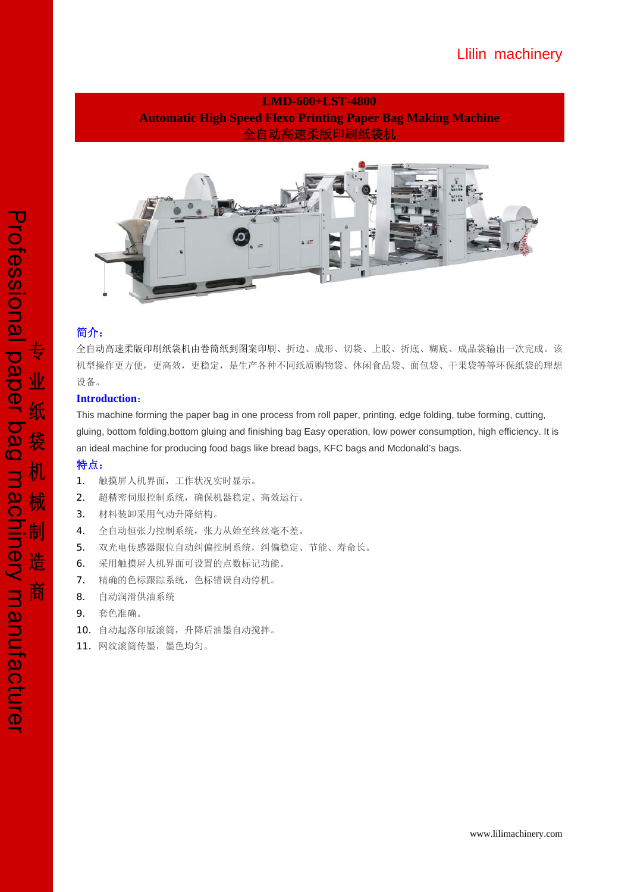## **LMD-600+LST-4800 Automatic High Speed Flexo Printing Paper Bag Making Machine**  全自动高速柔版印刷纸袋机



## 简介:

全自动高速柔版印刷纸袋机由卷筒纸到图案印刷、折边、成形、切袋、上胶、折底、糊底、成品袋输出一次完成。该 机型操作更方便,更高效,更稳定,是生产各种不同纸质购物袋、休闲食品袋、面包袋、干果袋等等环保纸袋的理想 设备。

### **Introduction**:

This machine forming the paper bag in one process from roll paper, printing, edge folding, tube forming, cutting, gluing, bottom folding,bottom gluing and finishing bag Easy operation, low power consumption, high efficiency. It is an ideal machine for producing food bags like bread bags, KFC bags and Mcdonald's bags.

## 特点:

- 1. 触摸屏人机界面,工作状况实时显示。
- 2. 超精密伺服控制系统,确保机器稳定、高效运行。
- 3. 材料装卸采用气动升降结构。
- 4. 全自动恒张力控制系统,张力从始至终丝毫不差。
- 5. 双光电传感器限位自动纠偏控制系统,纠偏稳定、节能、寿命长。
- 6. 采用触摸屏人机界面可设置的点数标记功能。
- 7. 精确的色标跟踪系统,色标错误自动停机。
- 8. 自动润滑供油系统
- 9. 套色准确。
- 10. 自动起落印版滚筒,升降后油墨自动搅拌。
- 11. 网纹滚筒传墨,墨色均匀。